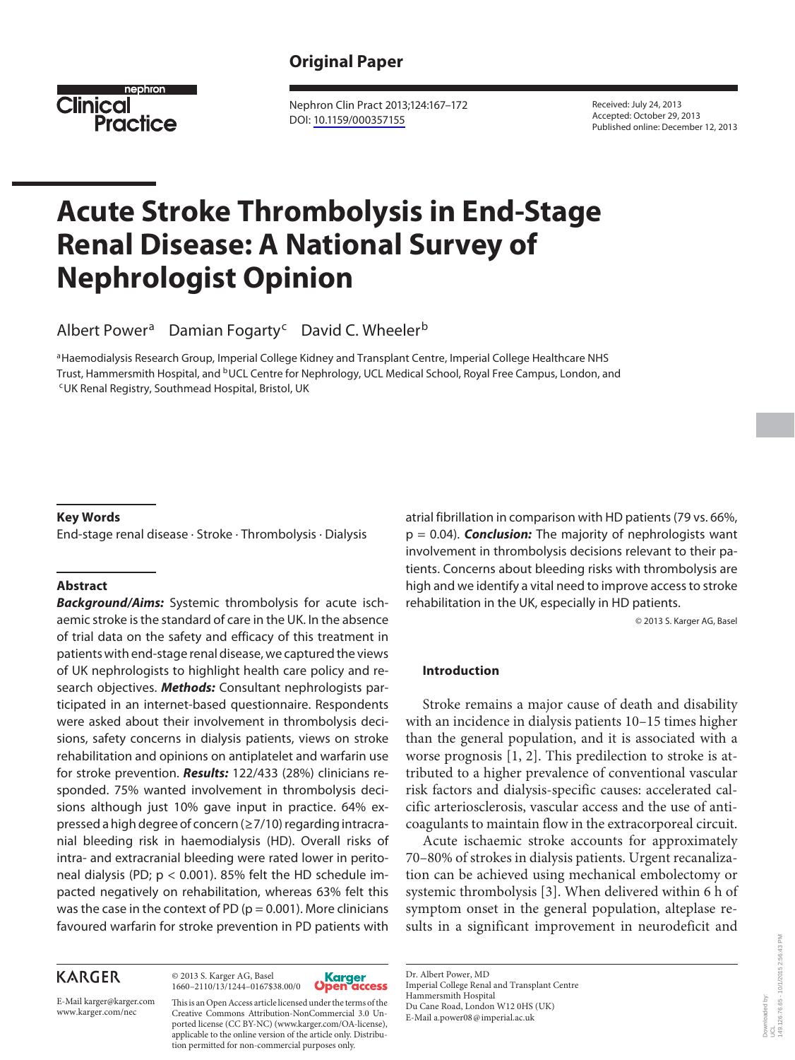## **Original Paper**



 Nephron Clin Pract 2013;124:167–172 DOI: [10.1159/000357155](http://dx.doi.org/10.1159%2F000357155)

 Received: July 24, 2013 Accepted: October 29, 2013 Published online: December 12, 2013

# **Acute Stroke Thrombolysis in End-Stage Renal Disease: A National Survey of Nephrologist Opinion**

Albert Power<sup>a</sup> Damian Fogarty<sup>c</sup> David C. Wheeler<sup>b</sup>

a Haemodialysis Research Group, Imperial College Kidney and Transplant Centre, Imperial College Healthcare NHS Trust, Hammersmith Hospital, and <sup>b</sup>UCL Centre for Nephrology, UCL Medical School, Royal Free Campus, London, and <sup>c</sup>UK Renal Registry, Southmead Hospital, Bristol, UK

#### **Key Words**

End-stage renal disease · Stroke · Thrombolysis · Dialysis

#### **Abstract**

*Background/Aims:* Systemic thrombolysis for acute ischaemic stroke is the standard of care in the UK. In the absence of trial data on the safety and efficacy of this treatment in patients with end-stage renal disease, we captured the views of UK nephrologists to highlight health care policy and research objectives. *Methods:* Consultant nephrologists participated in an internet-based questionnaire. Respondents were asked about their involvement in thrombolysis decisions, safety concerns in dialysis patients, views on stroke rehabilitation and opinions on antiplatelet and warfarin use for stroke prevention. *Results:* 122/433 (28%) clinicians responded. 75% wanted involvement in thrombolysis decisions although just 10% gave input in practice. 64% expressed a high degree of concern (≥7/10) regarding intracranial bleeding risk in haemodialysis (HD). Overall risks of intra- and extracranial bleeding were rated lower in peritoneal dialysis (PD;  $p < 0.001$ ). 85% felt the HD schedule impacted negatively on rehabilitation, whereas 63% felt this was the case in the context of PD ( $p = 0.001$ ). More clinicians favoured warfarin for stroke prevention in PD patients with

## **KARGER**

 © 2013 S. Karger AG, Basel 1660–2110/13/1244–0167\$38.00/0



www.karger.com/nec Creative Commons Attribution-NonCommercial 3.0 Un-<br>E-Mail a.power08@imperial.ac.uk This is an Open Access article licensed under the terms of the ported license (CC BY-NC) (www.karger.com/OA-license), applicable to the online version of the article only. Distribution permitted for non-commercial purposes only.

atrial fibrillation in comparison with HD patients (79 vs. 66%, p = 0.04). *Conclusion:* The majority of nephrologists want involvement in thrombolysis decisions relevant to their patients. Concerns about bleeding risks with thrombolysis are high and we identify a vital need to improve access to stroke rehabilitation in the UK, especially in HD patients.

© 2013 S. Karger AG, Basel

#### **Introduction**

 Stroke remains a major cause of death and disability with an incidence in dialysis patients 10–15 times higher than the general population, and it is associated with a worse prognosis  $[1, 2]$ . This predilection to stroke is attributed to a higher prevalence of conventional vascular risk factors and dialysis-specific causes: accelerated calcific arteriosclerosis, vascular access and the use of anticoagulants to maintain flow in the extracorporeal circuit.

 Acute ischaemic stroke accounts for approximately 70–80% of strokes in dialysis patients. Urgent recanalization can be achieved using mechanical embolectomy or systemic thrombolysis [3]. When delivered within 6 h of symptom onset in the general population, alteplase results in a significant improvement in neurodeficit and

 Dr. Albert Power, MD Imperial College Renal and Transplant Centre Hammersmith Hospital Du Cane Road, London W12 0HS (UK)<br>E-Mail a.power08@imperial.ac.uk

Downloaded by:

E-Mail karger@karger.com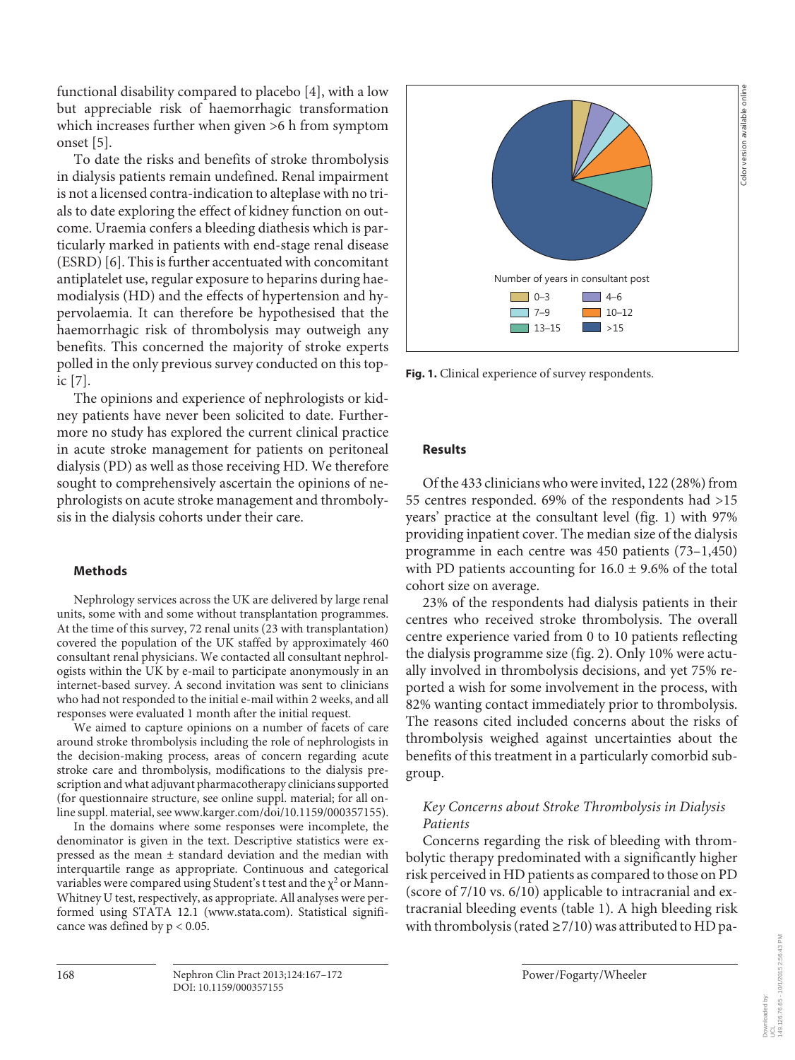functional disability compared to placebo [4], with a low but appreciable risk of haemorrhagic transformation which increases further when given >6 h from symptom onset [5].

 To date the risks and benefits of stroke thrombolysis in dialysis patients remain undefined. Renal impairment is not a licensed contra-indication to alteplase with no trials to date exploring the effect of kidney function on outcome. Uraemia confers a bleeding diathesis which is particularly marked in patients with end-stage renal disease (ESRD) [6]. This is further accentuated with concomitant antiplatelet use, regular exposure to heparins during haemodialysis (HD) and the effects of hypertension and hypervolaemia. It can therefore be hypothesised that the haemorrhagic risk of thrombolysis may outweigh any benefits. This concerned the majority of stroke experts polled in the only previous survey conducted on this topic [7] .

 The opinions and experience of nephrologists or kidney patients have never been solicited to date. Furthermore no study has explored the current clinical practice in acute stroke management for patients on peritoneal dialysis (PD) as well as those receiving HD. We therefore sought to comprehensively ascertain the opinions of nephrologists on acute stroke management and thrombolysis in the dialysis cohorts under their care.

### **Methods**

 Nephrology services across the UK are delivered by large renal units, some with and some without transplantation programmes. At the time of this survey, 72 renal units (23 with transplantation) covered the population of the UK staffed by approximately 460 consultant renal physicians. We contacted all consultant nephrologists within the UK by e-mail to participate anonymously in an internet-based survey. A second invitation was sent to clinicians who had not responded to the initial e-mail within 2 weeks, and all responses were evaluated 1 month after the initial request.

 We aimed to capture opinions on a number of facets of care around stroke thrombolysis including the role of nephrologists in the decision-making process, areas of concern regarding acute stroke care and thrombolysis, modifications to the dialysis prescription and what adjuvant pharmacotherapy clinicians supported (for questionnaire structure, see online suppl. material; for all online suppl. material, see www.karger.com/doi/10.1159/000357155).

 In the domains where some responses were incomplete, the denominator is given in the text. Descriptive statistics were expressed as the mean ± standard deviation and the median with interquartile range as appropriate. Continuous and categorical variables were compared using Student's t test and the  $\chi^2$  or Mann-Whitney U test, respectively, as appropriate. All analyses were performed using STATA 12.1 (www.stata.com). Statistical significance was defined by  $p < 0.05$ .



**Fig. 1.** Clinical experience of survey respondents.

### **Results**

 Of the 433 clinicians who were invited, 122 (28%) from 55 centres responded. 69% of the respondents had >15 years' practice at the consultant level (fig. 1) with 97% providing inpatient cover. The median size of the dialysis programme in each centre was 450 patients (73–1,450) with PD patients accounting for  $16.0 \pm 9.6\%$  of the total cohort size on average.

 23% of the respondents had dialysis patients in their centres who received stroke thrombolysis. The overall centre experience varied from 0 to 10 patients reflecting the dialysis programme size (fig. 2). Only 10% were actually involved in thrombolysis decisions, and yet 75% reported a wish for some involvement in the process, with 82% wanting contact immediately prior to thrombolysis. The reasons cited included concerns about the risks of thrombolysis weighed against uncertainties about the benefits of this treatment in a particularly comorbid subgroup.

## *Key Concerns about Stroke Thrombolysis in Dialysis Patients*

 Concerns regarding the risk of bleeding with thrombolytic therapy predominated with a significantly higher risk perceived in HD patients as compared to those on PD (score of 7/10 vs. 6/10) applicable to intracranial and extracranial bleeding events (table 1). A high bleeding risk with thrombolysis (rated  $\geq$  7/10) was attributed to HD pa-

Downloaded by: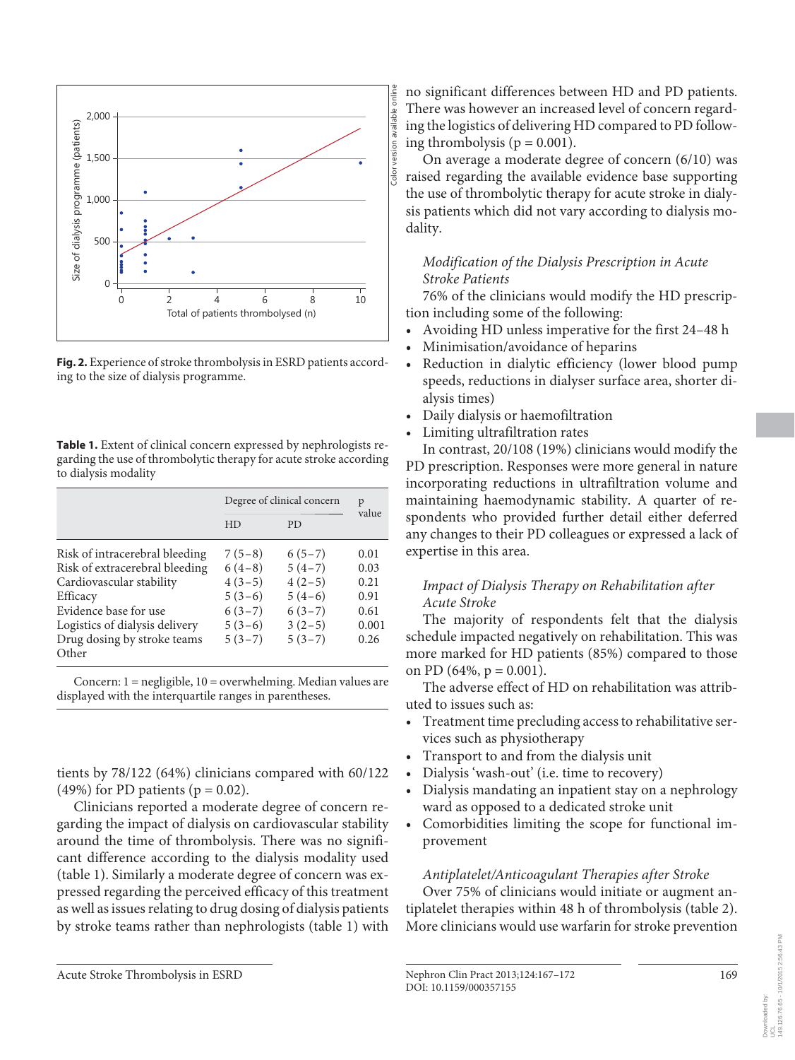

**Fig. 2.** Experience of stroke thrombolysis in ESRD patients according to the size of dialysis programme.

**Table 1.** Extent of clinical concern expressed by nephrologists regarding the use of thrombolytic therapy for acute stroke according to dialysis modality

|                                                                                                                                                                                                             | Degree of clinical concern                                                       | p                                                                                |                                                       |  |
|-------------------------------------------------------------------------------------------------------------------------------------------------------------------------------------------------------------|----------------------------------------------------------------------------------|----------------------------------------------------------------------------------|-------------------------------------------------------|--|
|                                                                                                                                                                                                             | HD                                                                               | PD.                                                                              | value                                                 |  |
| Risk of intracerebral bleeding<br>Risk of extracerebral bleeding<br>Cardiovascular stability<br>Efficacy<br>Evidence base for use<br>Logistics of dialysis delivery<br>Drug dosing by stroke teams<br>Other | $7(5-8)$<br>$6(4-8)$<br>$4(3-5)$<br>$5(3-6)$<br>$6(3-7)$<br>$5(3-6)$<br>$5(3-7)$ | $6(5-7)$<br>$5(4-7)$<br>$4(2-5)$<br>$5(4-6)$<br>$6(3-7)$<br>$3(2-5)$<br>$5(3-7)$ | 0.01<br>0.03<br>0.21<br>0.91<br>0.61<br>0.001<br>0.26 |  |

 Concern: 1 = negligible, 10 = overwhelming. Median values are displayed with the interquartile ranges in parentheses.

tients by 78/122 (64%) clinicians compared with 60/122 (49%) for PD patients ( $p = 0.02$ ).

 Clinicians reported a moderate degree of concern regarding the impact of dialysis on cardiovascular stability around the time of thrombolysis. There was no significant difference according to the dialysis modality used (table 1). Similarly a moderate degree of concern was expressed regarding the perceived efficacy of this treatment as well as issues relating to drug dosing of dialysis patients by stroke teams rather than nephrologists (table 1) with

no significant differences between HD and PD patients. There was however an increased level of concern regarding the logistics of delivering HD compared to PD following thrombolysis ( $p = 0.001$ ).

 On average a moderate degree of concern (6/10) was raised regarding the available evidence base supporting the use of thrombolytic therapy for acute stroke in dialysis patients which did not vary according to dialysis modality.

## *Modification of the Dialysis Prescription in Acute Stroke Patients*

 76% of the clinicians would modify the HD prescription including some of the following:

- Avoiding HD unless imperative for the first 24–48 h
- Minimisation/avoidance of heparins
- Reduction in dialytic efficiency (lower blood pump speeds, reductions in dialyser surface area, shorter dialysis times)
- Daily dialysis or haemofiltration
- Limiting ultrafiltration rates

 In contrast, 20/108 (19%) clinicians would modify the PD prescription. Responses were more general in nature incorporating reductions in ultrafiltration volume and maintaining haemodynamic stability. A quarter of respondents who provided further detail either deferred any changes to their PD colleagues or expressed a lack of expertise in this area.

## *Impact of Dialysis Therapy on Rehabilitation after Acute Stroke*

 The majority of respondents felt that the dialysis schedule impacted negatively on rehabilitation. This was more marked for HD patients (85%) compared to those on PD (64%,  $p = 0.001$ ).

 The adverse effect of HD on rehabilitation was attributed to issues such as:

- Treatment time precluding access to rehabilitative services such as physiotherapy
- Transport to and from the dialysis unit
- Dialysis 'wash-out' (i.e. time to recovery)
- Dialysis mandating an inpatient stay on a nephrology ward as opposed to a dedicated stroke unit
- Comorbidities limiting the scope for functional improvement

## *Antiplatelet/Anticoagulant Therapies after Stroke*

 Over 75% of clinicians would initiate or augment antiplatelet therapies within 48 h of thrombolysis (table 2). More clinicians would use warfarin for stroke prevention

Downloaded by:

Acute Stroke Thrombolysis in ESRD Nephron Clin Pract 2013;124:167-172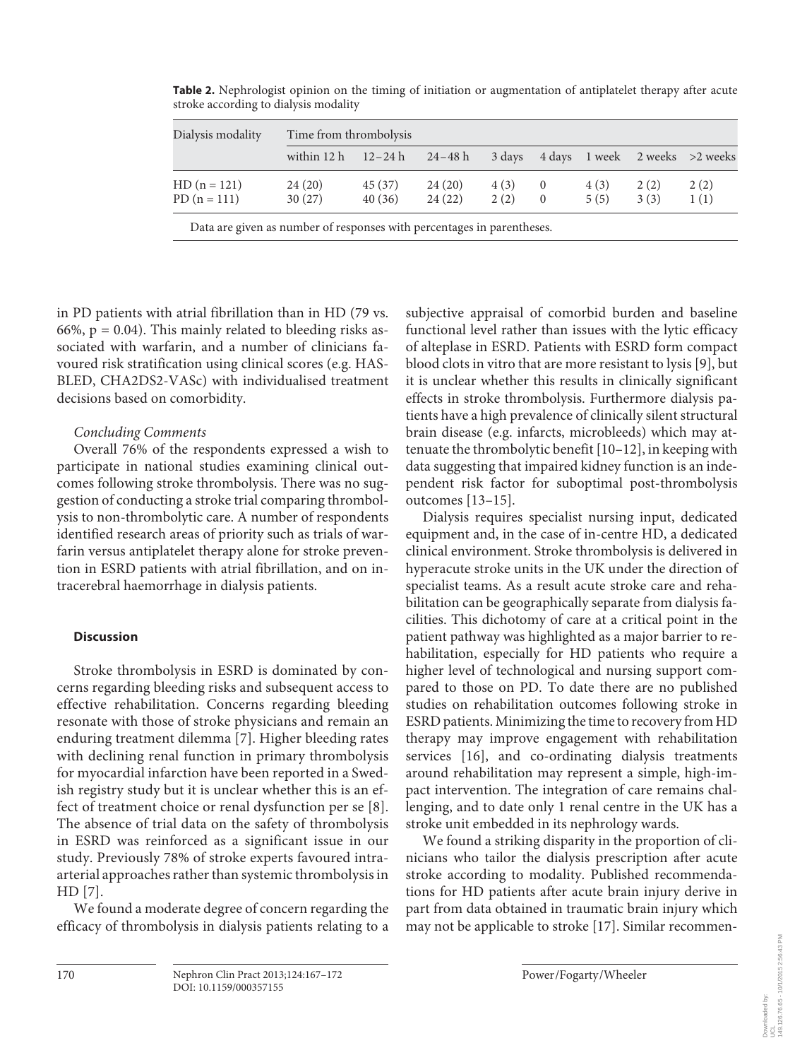| Dialysis modality | Time from thrombolysis            |         |        |        |                |       |      |                                |
|-------------------|-----------------------------------|---------|--------|--------|----------------|-------|------|--------------------------------|
|                   | within $12 h$ $12-24 h$ $24-48 h$ |         |        | 3 days |                |       |      | 4 days 1 week 2 weeks >2 weeks |
| $HD(n = 121)$     | 24(20)                            | 45 (37) | 24(20) | 4(3)   | $\overline{0}$ | 4 (3) | 2(2) | 2(2)                           |
| $PD(n = 111)$     | 30(27)                            | 40(36)  | 24(22) | 2(2)   | $\Omega$       | 5(5)  | 3(3) | 1(1)                           |

**Table 2.** Nephrologist opinion on the timing of initiation or augmentation of antiplatelet therapy after acute stroke according to dialysis modality

in PD patients with atrial fibrillation than in HD (79 vs. 66%,  $p = 0.04$ ). This mainly related to bleeding risks associated with warfarin, and a number of clinicians favoured risk stratification using clinical scores (e.g. HAS-BLED, CHA2DS2-VASc) with individualised treatment decisions based on comorbidity.

## *Concluding Comments*

 Overall 76% of the respondents expressed a wish to participate in national studies examining clinical outcomes following stroke thrombolysis. There was no suggestion of conducting a stroke trial comparing thrombolysis to non-thrombolytic care. A number of respondents identified research areas of priority such as trials of warfarin versus antiplatelet therapy alone for stroke prevention in ESRD patients with atrial fibrillation, and on intracerebral haemorrhage in dialysis patients.

### **Discussion**

 Stroke thrombolysis in ESRD is dominated by concerns regarding bleeding risks and subsequent access to effective rehabilitation. Concerns regarding bleeding resonate with those of stroke physicians and remain an enduring treatment dilemma [7]. Higher bleeding rates with declining renal function in primary thrombolysis for myocardial infarction have been reported in a Swedish registry study but it is unclear whether this is an effect of treatment choice or renal dysfunction per se [8] . The absence of trial data on the safety of thrombolysis in ESRD was reinforced as a significant issue in our study. Previously 78% of stroke experts favoured intraarterial approaches rather than systemic thrombolysis in  $HD [7]$ .

 We found a moderate degree of concern regarding the efficacy of thrombolysis in dialysis patients relating to a subjective appraisal of comorbid burden and baseline functional level rather than issues with the lytic efficacy of alteplase in ESRD. Patients with ESRD form compact blood clots in vitro that are more resistant to lysis [9], but it is unclear whether this results in clinically significant effects in stroke thrombolysis. Furthermore dialysis patients have a high prevalence of clinically silent structural brain disease (e.g. infarcts, microbleeds) which may attenuate the thrombolytic benefit [10–12] , in keeping with data suggesting that impaired kidney function is an independent risk factor for suboptimal post-thrombolysis outcomes [13–15] .

 Dialysis requires specialist nursing input, dedicated equipment and, in the case of in-centre HD, a dedicated clinical environment. Stroke thrombolysis is delivered in hyperacute stroke units in the UK under the direction of specialist teams. As a result acute stroke care and rehabilitation can be geographically separate from dialysis facilities. This dichotomy of care at a critical point in the patient pathway was highlighted as a major barrier to rehabilitation, especially for HD patients who require a higher level of technological and nursing support compared to those on PD. To date there are no published studies on rehabilitation outcomes following stroke in ESRD patients. Minimizing the time to recovery from HD therapy may improve engagement with rehabilitation services [16], and co-ordinating dialysis treatments around rehabilitation may represent a simple, high-impact intervention. The integration of care remains challenging, and to date only 1 renal centre in the UK has a stroke unit embedded in its nephrology wards.

 We found a striking disparity in the proportion of clinicians who tailor the dialysis prescription after acute stroke according to modality. Published recommendations for HD patients after acute brain injury derive in part from data obtained in traumatic brain injury which may not be applicable to stroke [17] . Similar recommen-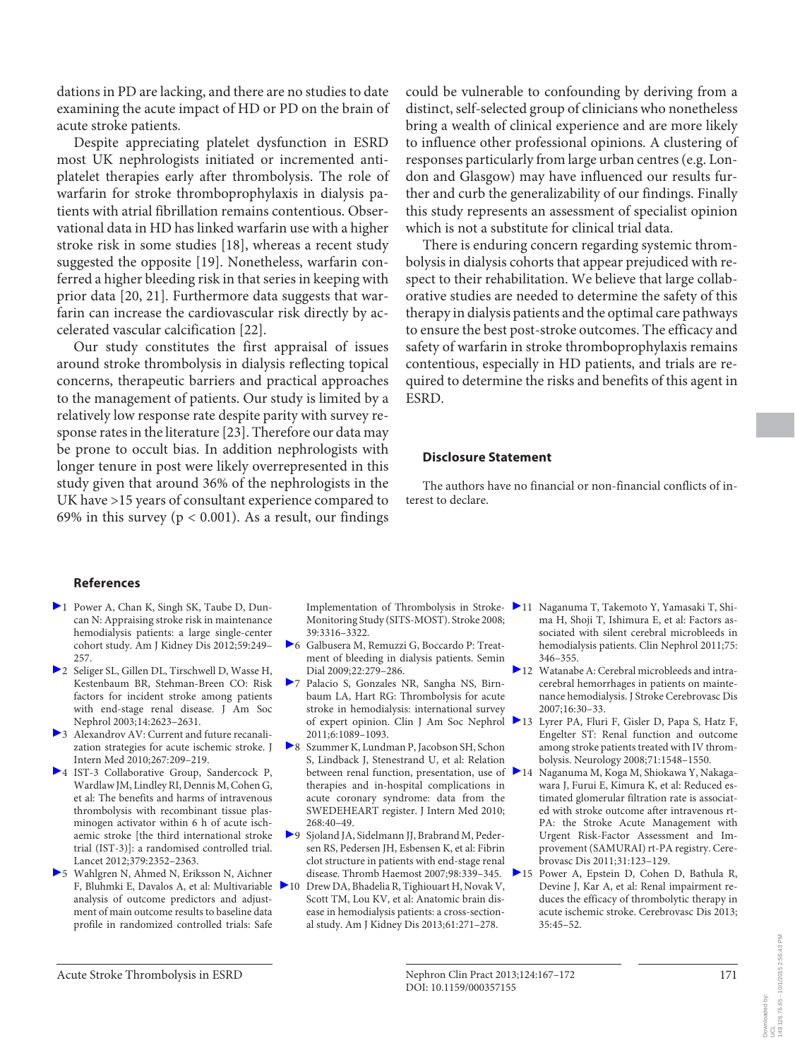dations in PD are lacking, and there are no studies to date examining the acute impact of HD or PD on the brain of acute stroke patients.

 Despite appreciating platelet dysfunction in ESRD most UK nephrologists initiated or incremented antiplatelet therapies early after thrombolysis. The role of warfarin for stroke thromboprophylaxis in dialysis patients with atrial fibrillation remains contentious. Observational data in HD has linked warfarin use with a higher stroke risk in some studies [18], whereas a recent study suggested the opposite [19]. Nonetheless, warfarin conferred a higher bleeding risk in that series in keeping with prior data [20, 21]. Furthermore data suggests that warfarin can increase the cardiovascular risk directly by accelerated vascular calcification [22] .

 Our study constitutes the first appraisal of issues around stroke thrombolysis in dialysis reflecting topical concerns, therapeutic barriers and practical approaches to the management of patients. Our study is limited by a relatively low response rate despite parity with survey response rates in the literature [23] . Therefore our data may be prone to occult bias. In addition nephrologists with longer tenure in post were likely overrepresented in this study given that around 36% of the nephrologists in the UK have >15 years of consultant experience compared to 69% in this survey ( $p < 0.001$ ). As a result, our findings

could be vulnerable to confounding by deriving from a distinct, self-selected group of clinicians who nonetheless bring a wealth of clinical experience and are more likely to influence other professional opinions. A clustering of responses particularly from large urban centres (e.g. London and Glasgow) may have influenced our results further and curb the generalizability of our findings. Finally this study represents an assessment of specialist opinion which is not a substitute for clinical trial data.

 There is enduring concern regarding systemic thrombolysis in dialysis cohorts that appear prejudiced with respect to their rehabilitation. We believe that large collaborative studies are needed to determine the safety of this therapy in dialysis patients and the optimal care pathways to ensure the best post-stroke outcomes. The efficacy and safety of warfarin in stroke thromboprophylaxis remains contentious, especially in HD patients, and trials are required to determine the risks and benefits of this agent in ESRD.

#### **Disclosure Statement**

 The authors have no financial or non-financial conflicts of interest to declare.

#### **References**

- 1 Power A, Chan K, Singh SK, Taube D, Duncan N: Appraising stroke risk in maintenance hemodialysis patients: a large single-center cohort study. Am J Kidney Dis 2012;59:249– 257.
- 2 Seliger SL, Gillen DL, Tirschwell D, Wasse H, Kestenbaum BR, Stehman-Breen CO: Risk factors for incident stroke among patients with end-stage renal disease. J Am Soc Nephrol 2003;14:2623–2631.
- 3 Alexandrov AV: Current and future recanalization strategies for acute ischemic stroke. J Intern Med 2010;267:209–219.
- 4 IST-3 Collaborative Group, Sandercock P, Wardlaw JM, Lindley RI, Dennis M, Cohen G, et al: The benefits and harms of intravenous thrombolysis with recombinant tissue plasminogen activator within 6 h of acute ischaemic stroke [the third international stroke trial (IST-3)]: a randomised controlled trial. Lancet 2012;379:2352–2363.
- 5 Wahlgren N, Ahmed N, Eriksson N, Aichner F, Bluhmki E, Davalos A, et al: Multivariable analysis of outcome predictors and adjustment of main outcome results to baseline data profile in randomized controlled trials: Safe

Implementation of Thrombolysis in Stroke-Monitoring Study (SITS-MOST). Stroke 2008; 39:3316–3322.

- 6 Galbusera M, Remuzzi G, Boccardo P: Treatment of bleeding in dialysis patients. Semin Dial 2009;22:279–286.
- 7 Palacio S, Gonzales NR, Sangha NS, Birnbaum LA, Hart RG: Thrombolysis for acute stroke in hemodialysis: international survey of expert opinion. Clin J Am Soc Nephrol 2011;6:1089–1093.
- 8 Szummer K, Lundman P, Jacobson SH, Schon S, Lindback J, Stenestrand U, et al: Relation between renal function, presentation, use of  $\geq 14$ therapies and in-hospital complications in acute coronary syndrome: data from the SWEDEHEART register. J Intern Med 2010; 268:40–49.
- 9 Sjoland JA, Sidelmann JJ, Brabrand M, Pedersen RS, Pedersen JH, Esbensen K, et al: Fibrin clot structure in patients with end-stage renal disease. Thromb Haemost 2007;98:339–345.
- Drew DA, Bhadelia R, Tighiouart H, Novak V, Scott TM, Lou KV, et al: Anatomic brain disease in hemodialysis patients: a cross-sectional study. Am J Kidney Dis 2013;61:271–278.
- 11 Naganuma T, Takemoto Y, Yamasaki T, Shima H, Shoji T, Ishimura E, et al: Factors associated with silent cerebral microbleeds in hemodialysis patients. Clin Nephrol 2011;75: 346–355.
- 12 Watanabe A: Cerebral microbleeds and intracerebral hemorrhages in patients on maintenance hemodialysis. J Stroke Cerebrovasc Dis 2007;16:30–33.
	- Lyrer PA, Fluri F, Gisler D, Papa S, Hatz F, Engelter ST: Renal function and outcome among stroke patients treated with IV thrombolysis. Neurology 2008;71:1548–1550.
	- Naganuma M, Koga M, Shiokawa Y, Nakagawara J, Furui E, Kimura K, et al: Reduced estimated glomerular filtration rate is associated with stroke outcome after intravenous rt-PA: the Stroke Acute Management with Urgent Risk-Factor Assessment and Improvement (SAMURAI) rt-PA registry. Cerebrovasc Dis 2011;31:123–129.
- 15 Power A, Epstein D, Cohen D, Bathula R, Devine J, Kar A, et al: Renal impairment reduces the efficacy of thrombolytic therapy in acute ischemic stroke. Cerebrovasc Dis 2013; 35:45–52.

Downloaded by: